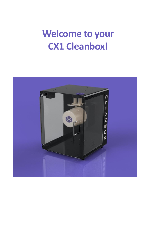# **Welcome to your CX1 Cleanbox!**

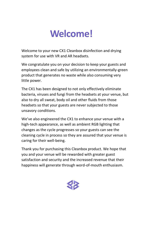# **Welcome!**

Welcome to your new CX1 Cleanbox disinfection and drying system for use with VR and AR headsets.

We congratulate you on your decision to keep your guests and employees clean and safe by utilizing an environmentally-green product that generates no waste while also consuming very little power.

The CX1 has been designed to not only effectively eliminate bacteria, viruses and fungi from the headsets at your venue, but also to dry all sweat, body oil and other fluids from those headsets so that your guests are never subjected to those unsavory conditions.

We've also engineered the CX1 to enhance your venue with a high-tech appearance, as well as ambient RGB lighting that changes as the cycle progresses so your guests can see the cleaning cycle in process so they are assured that your venue is caring for their well-being.

Thank you for purchasing this Cleanbox product. We hope that you and your venue will be rewarded with greater guest satisfaction and security and the increased revenue that their happiness will generate through word-of-mouth enthusiasm.

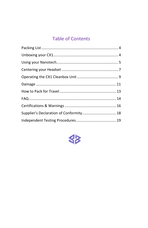# **Table of Contents**

| Supplier's Declaration of Conformity 18 |  |
|-----------------------------------------|--|
|                                         |  |

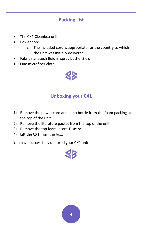# **Packing List**

- <span id="page-3-0"></span>The CX1 Cleanbox unit
- Power cord
	- o The included cord is appropriate for the country to which the unit was initially delivered.
- Fabric nanotech fluid in spray bottle, 2 oz.
- One microfiber cloth

<span id="page-3-1"></span>

# **Unboxing your CX1**

- 1) Remove the power cord and nano bottle from the foam packing at the top of the unit.
- 2) Remove the literature packet from the top of the unit.
- 3) Remove the top foam insert. Discard.
- 4) Lift the CX1 from the box.

You have successfully unboxed your CX1 unit!

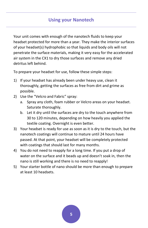# **Using your Nanotech**

<span id="page-4-0"></span>Your unit comes with enough of the nanotech fluids to keep your headset protected for more than a year. They make the interior surfaces of your headset(s) hydrophobic so that liquids and body oils will not penetrate the surface materials, making it very easy for the accelerated air system in the CX1 to dry those surfaces and remove any dried detritus left behind.

To prepare your headset for use, follow these simple steps:

- 1) If your headset has already been under heavy use, clean it thoroughly, getting the surfaces as free from dirt and grime as possible.
- 2) Use the "Velcro and Fabric" spray:
	- a. Spray any cloth, foam rubber or Velcro areas on your headset. Saturate thoroughly.
	- b. Let it dry until the surfaces are dry to the touch anywhere from 30 to 120 minutes, depending on how heavily you applied the textile coating. Overnight is even better.
- 3) Your headset is ready for use as soon as it is dry to the touch, but the nanotech coatings will continue to mature until 24 hours have passed. At that point, your headset will be completely protected with coatings that should last for many months.
- 4) You do not need to reapply for a long time. If you put a drop of water on the surface and it beads up and doesn't soak in, then the nano is still working and there is no need to reapply!
- 5) Your starter bottle of nano should be more than enough to prepare at least 10 headsets.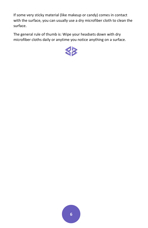If some very sticky material (like makeup or candy) comes in contact with the surface, you can usually use a dry microfiber cloth to clean the surface.

The general rule of thumb is: Wipe your headsets down with dry microfiber cloths daily or anytime you notice anything on a surface.

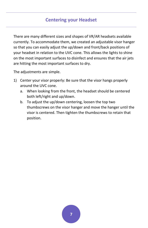## **Centering your Headset**

<span id="page-6-0"></span>There are many different sizes and shapes of VR/AR headsets available currently. To accommodate them, we created an adjustable visor hanger so that you can easily adjust the up/down and front/back positions of your headset in relation to the UVC cone. This allows the lights to shine on the most important surfaces to disinfect and ensures that the air jets are hitting the most important surfaces to dry.

The adjustments are simple.

- 1) Center your visor properly: Be sure that the visor hangs properly around the UVC cone.
	- a. When looking from the front, the headset should be centered both left/right and up/down.
	- b. To adjust the up/down centering, loosen the top two thumbscrews on the visor hanger and move the hanger until the visor is centered. Then tighten the thumbscrews to retain that position.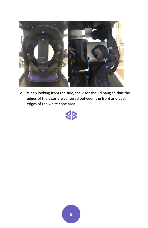

c. When looking from the side, the visor should hang so that the edges of the visor are centered between the front and back edges of the white cone area.

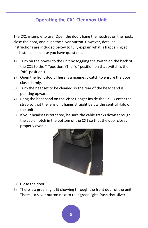# **Operating the CX1 Cleanbox Unit**

<span id="page-8-0"></span>The CX1 is simple to use. Open the door, hang the headset on the hook, close the door, and push the silver button. However, detailed instructions are included below to fully explain what is happening at each step and in case you have questions.

- 1) Turn on the power to the unit by toggling the switch on the back of the CX1 to the "-"position. (The "o" position on that switch is the "off" position.)
- 2) Open the front door. There is a magnetic catch to ensure the door closes firmly.
- 3) Turn the headset to be cleaned so the rear of the headband is pointing upward.
- 4) Hang the headband on the Visor Hanger inside the CX1. Center the strap so that the lens unit hangs straight below the central Halo of the unit.
- 5) If your headset is tethered, be sure the cable tracks down through the cable notch in the bottom of the CX1 so that the door closes properly over it.



- 6) Close the door.
- 7) There is a green light lit showing through the front door of the unit. There is a silver button next to that green light. Push that silver

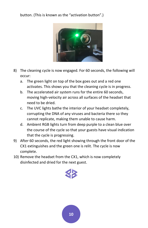#### button. (This is known as the "activation button".)



- 8) The cleaning cycle is now engaged. For 60 seconds, the following will occur:
	- a. The green light on top of the box goes out and a red one activates. This shows you that the cleaning cycle is in progress.
	- b. The accelerated air system runs for the entire 60 seconds, moving high-velocity air across all surfaces of the headset that need to be dried.
	- c. The UVC lights bathe the interior of your headset completely, corrupting the DNA of any viruses and bacteria there so they cannot replicate, making them unable to cause harm.
	- d. Ambient RGB lights turn from deep purple to a clean blue over the course of the cycle so that your guests have visual indication that the cycle is progressing.
- 9) After 60 seconds, the red light showing through the front door of the CX1 extinguishes and the green one is relit. The cycle is now complete.
- 10) Remove the headset from the CX1, which is now completely disinfected and dried for the next guest.



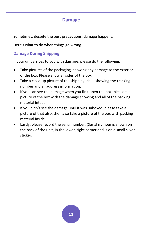## **Damage**

<span id="page-10-0"></span>Sometimes, despite the best precautions, damage happens.

Here's what to do when things go wrong.

#### **Damage During Shipping**

If your unit arrives to you with damage, please do the following:

- Take pictures of the packaging, showing any damage to the exterior of the box. Please show all sides of the box.
- Take a close-up picture of the shipping label, showing the tracking number and all address information.
- If you can see the damage when you first open the box, please take a picture of the box with the damage showing and all of the packing material intact.
- If you didn't see the damage until it was unboxed, please take a picture of that also, then also take a picture of the box with packing material inside.
- Lastly, please record the serial number. (Serial number is shown on the back of the unit, in the lower, right corner and is on a small silver sticker.)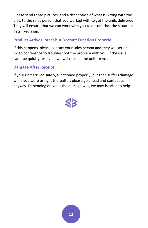Please send those pictures, and a description of what is wrong with the unit, to the sales person that you worked with to get the units delivered. They will ensure that we can work with you to ensure that the situation gets fixed asap.

#### **Product Arrives Intact but Doesn't Function Properly**

If this happens, please contact your sales person and they will set up a video conference to troubleshoot the problem with you. If the issue can't be quickly resolved, we will replace the unit for you.

#### **Damage After Receipt**

If your unit arrived safely, functioned properly, but then suffers damage while you were using it thereafter, please go ahead and contact us anyway. Depending on what the damage was, we may be able to help.

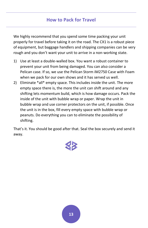## **How to Pack for Travel**

<span id="page-12-0"></span>We highly recommend that you spend some time packing your unit properly for travel before taking it on the road. The CX1 is a robust piece of equipment, but baggage handlers and shipping companies can be very rough and you don't want your unit to arrive in a non-working state.

- 1) Use at least a double-walled box. You want a robust container to prevent your unit from being damaged. You can also consider a Pelican case. If so, we use the Pelican Storm iM2750 Case with Foam when we pack for our own shows and it has served us well.
- 2) Eliminate \*all\* empty space. This includes inside the unit. The more empty space there is, the more the unit can shift around and any shifting lets momentum build, which is how damage occurs. Pack the inside of the unit with bubble wrap or paper. Wrap the unit in bubble wrap and use corner protectors on the unit, if possible. Once the unit is in the box, fill every empty space with bubble wrap or peanuts. Do everything you can to eliminate the possibility of shifting.

That's it. You should be good after that. Seal the box securely and send it away.

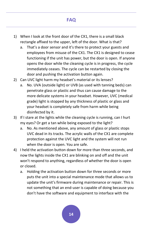# **FAQ**

- <span id="page-13-0"></span>1) When I look at the front door of the CX1, there is a small black rectangle affixed to the upper, left of the door. What is that?
	- a. That's a door sensor and it's there to protect your guests and employees from misuse of the CX1. The CX1 is designed to cease functioning if the unit has power, but the door is open. If anyone opens the door while the cleaning cycle is in progress, the cycle immediately ceases. The cycle can be restarted by closing the door and pushing the activation button again.
- 2) Can UVC light harm my headset's material or its lenses?
	- a. No. UVA (outside light) or UVB (as used with tanning beds) can penetrate glass or plastic and thus can cause damage to the more delicate systems in your headset. However, UVC (medical grade) light is stopped by any thickness of plastic or glass and your headset is completely safe from harm while being disinfected by it.
- 3) If I stare at the lights while the cleaning cycle is running, can I hurt my eyes? Or get a tan while being exposed to the light?
	- a. No. As mentioned above, any amount of glass or plastic stops UVC dead in its tracks. The acrylic walls of the CX1 are complete protection against the UVC light and the system will not run when the door is open. You are safe.
- 4) I held the activation button down for more than three seconds, and now the lights inside the CX1 are blinking on and off and the unit won't respond to anything, regardless of whether the door is open or closed.
	- a. Holding the activation button down for three seconds or more puts the unit into a special maintenance mode that allows us to update the unit's firmware during maintenance or repair. This is not something that an end-user is capable of doing because you don't have the software and equipment to interface with the

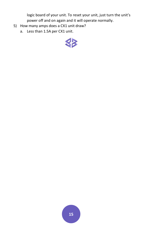logic board of your unit. To reset your unit, just turn the unit's power off and on again and it will operate normally.

- 5) How many amps does a CX1 unit draw?
	- a. Less than 1.5A per CX1 unit.

<span id="page-14-0"></span>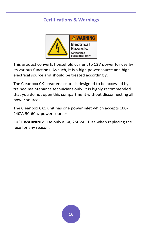## **Certifications & Warnings**



This product converts household current to 12V power for use by its various functions. As such, it is a high power source and high electrical source and should be treated accordingly.

The Cleanbox CX1 rear enclosure is designed to be accessed by trained maintenance technicians only. It is highly recommended that you do not open this compartment without disconnecting all power sources.

The Cleanbox CX1 unit has one power inlet which accepts 100- 240V, 50-60hz power sources.

**FUSE WARNING:** Use only a 5A, 250VAC fuse when replacing the fuse for any reason.

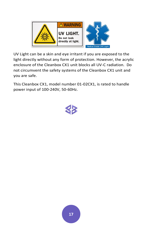

UV Light can be a skin and eye irritant if you are exposed to the light directly without any form of protection. However, the acrylic enclosure of the Cleanbox CX1 unit blocks all UV-C radiation. Do not circumvent the safety systems of the Cleanbox CX1 unit and you are safe.

This Cleanbox CX1, model number 01-02CX1, is rated to handle power input of 100-240V, 50-60Hz.

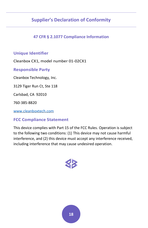# <span id="page-17-0"></span>**Supplier's Declaration of Conformity**

#### **47 CFR § 2.1077 Compliance Information**

#### **Unique Identifier**

Cleanbox CX1, model number 01-02CX1

**Responsible Party**

Cleanbox Technology, Inc.

3129 Tiger Run Ct, Ste 118

Carlsbad, CA 92010

760-385-8820

[www.cleanboxtech.com](http://www.cleanboxtech.com/)

#### **FCC Compliance Statement**

This device complies with Part 15 of the FCC Rules. Operation is subject to the following two conditions: (1) This device may not cause harmful interference, and (2) this device must accept any interference received, including interference that may cause undesired operation.

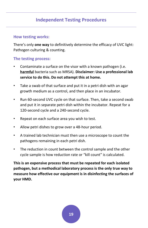## **Independent Testing Procedures**

#### <span id="page-18-0"></span>**How testing works:**

There's only **one way** to definitively determine the efficacy of UVC light: Pathogen culturing & counting.

#### **The testing process:**

- Contaminate a surface on the visor with a known pathogen (i.e. **harmful** bacteria such as MRSA). **Disclaimer: Use a professional lab service to do this. Do not attempt this at home.**
- Take a swab of that surface and put it in a petri dish with an agar growth medium as a control, and then place in an incubator.
- Run 60-second UVC cycle on that surface. Then, take a second swab and put it in separate petri dish within the incubator. Repeat for a 120-second cycle and a 240-second cycle.
- Repeat on each surface area you wish to test.
- Allow petri dishes to grow over a 48-hour period.
- A trained lab technician must then use a microscope to count the pathogens remaining in each petri dish.
- The reduction in count between the control sample and the other cycle sample is how reduction rate or "kill count" is calculated.

**This is an expensive process that must be repeated for each isolated pathogen, but a methodical laboratory process is the only true way to measure how effective our equipment is in disinfecting the surfaces of your HMD.**

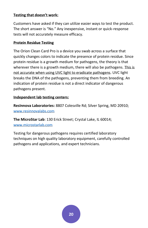#### **Testing that doesn't work:**

Customers have asked if they can utilize easier ways to test the product. The short answer is "No." Any inexpensive, instant or quick-response tests will not accurately measure efficacy.

#### **Protein Residue Testing**

The Orion Clean Card Pro is a device you swab across a surface that quickly changes colors to indicate the presence of protein residue. Since protein residue is a growth medium for pathogens, the theory is that wherever there is a growth medium, there will also be pathogens. This is not accurate when using UVC light to eradicate pathogens. UVC light breaks the DNA of the pathogens, preventing them from breeding. An indication of protein residue is not a direct indicator of dangerous pathogens present.

#### **Independent lab testing centers:**

**ResInnova Laboratories:** 8807 Colesville Rd; Silver Spring, MD 20910; [www.resinnovalabs.com](http://www.resinnovalabs.com/)

**The MicroStar Lab**: 130 Erick Street; Crystal Lake, IL 60014; [www.microstarlab.com](http://www.microstarlab.com/)

Testing for dangerous pathogens requires certified laboratory techniques on high quality laboratory equipment, carefully controlled pathogens and applications, and expert technicians.